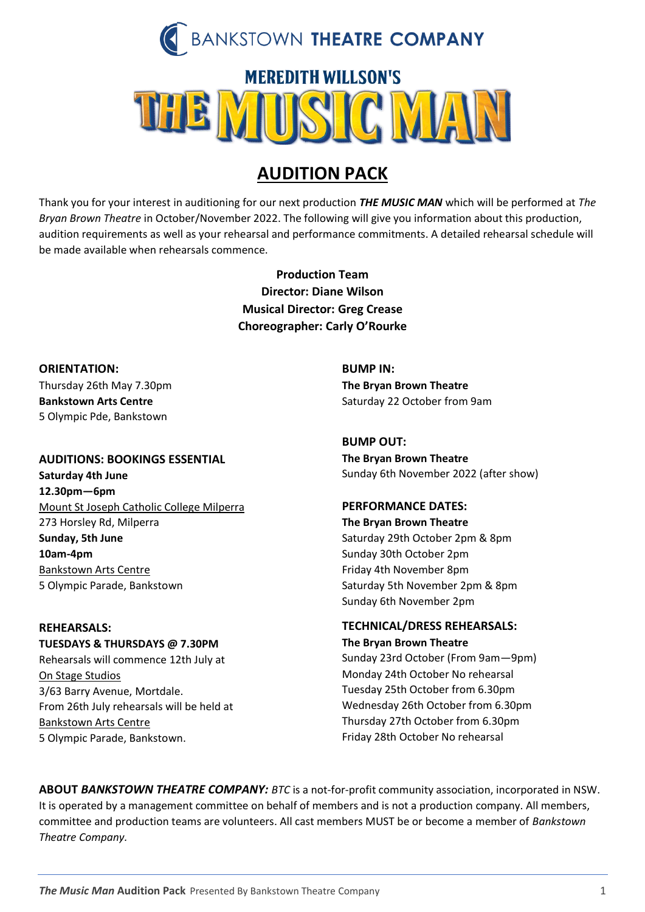

# **MEREDITH WILLSON'S** MUSIC MAN

# **AUDITION PACK**

Thank you for your interest in auditioning for our next production *THE MUSIC MAN* which will be performed at *The Bryan Brown Theatre* in October/November 2022. The following will give you information about this production, audition requirements as well as your rehearsal and performance commitments. A detailed rehearsal schedule will be made available when rehearsals commence.

> **Production Team Director: Diane Wilson Musical Director: Greg Crease Choreographer: Carly O'Rourke**

**ORIENTATION:**  Thursday 26th May 7.30pm **Bankstown Arts Centre** 5 Olympic Pde, Bankstown

## **AUDITIONS: BOOKINGS ESSENTIAL**

**Saturday 4th June 12.30pm—6pm** Mount St Joseph Catholic College Milperra 273 Horsley Rd, Milperra **Sunday, 5th June 10am-4pm** Bankstown Arts Centre 5 Olympic Parade, Bankstown

## **REHEARSALS:**

**TUESDAYS & THURSDAYS @ 7.30PM** Rehearsals will commence 12th July at On Stage Studios 3/63 Barry Avenue, Mortdale. From 26th July rehearsals will be held at Bankstown Arts Centre 5 Olympic Parade, Bankstown.

**BUMP IN: The Bryan Brown Theatre** Saturday 22 October from 9am

## **BUMP OUT:**

**The Bryan Brown Theatre** Sunday 6th November 2022 (after show)

## **PERFORMANCE DATES:**

**The Bryan Brown Theatre** Saturday 29th October 2pm & 8pm Sunday 30th October 2pm Friday 4th November 8pm Saturday 5th November 2pm & 8pm Sunday 6th November 2pm

## **TECHNICAL/DRESS REHEARSALS:**

**The Bryan Brown Theatre**

Sunday 23rd October (From 9am—9pm) Monday 24th October No rehearsal Tuesday 25th October from 6.30pm Wednesday 26th October from 6.30pm Thursday 27th October from 6.30pm Friday 28th October No rehearsal

**ABOUT** *BANKSTOWN THEATRE COMPANY: BTC* is a not-for-profit community association, incorporated in NSW. It is operated by a management committee on behalf of members and is not a production company. All members, committee and production teams are volunteers. All cast members MUST be or become a member of *Bankstown Theatre Company.*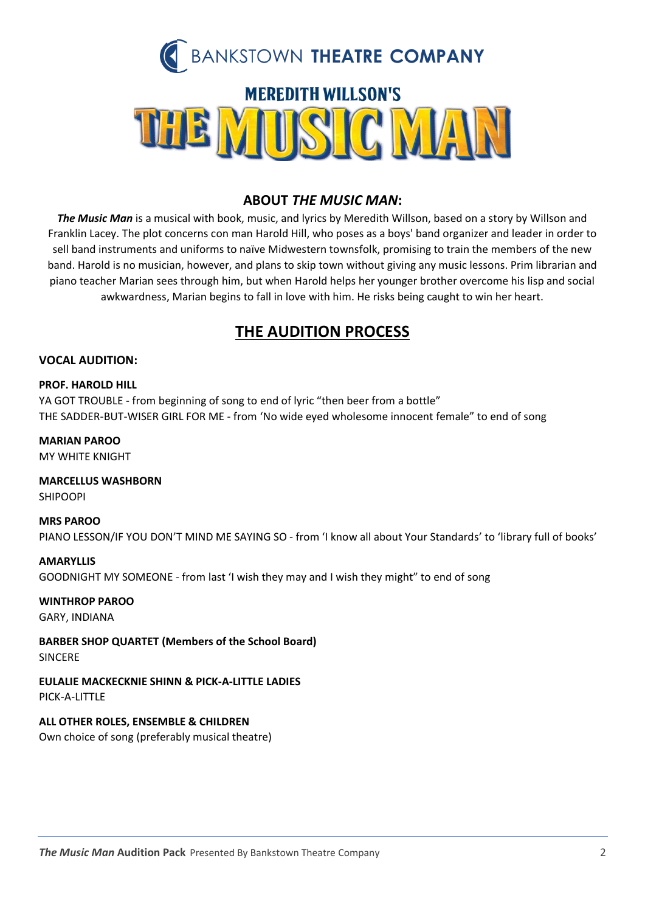

## **ABOUT** *THE MUSIC MAN***:**

*The Music Man* is a musical with book, music, and lyrics by Meredith Willson, based on a story by Willson and Franklin Lacey. The plot concerns con man Harold Hill, who poses as a boys' band organizer and leader in order to sell band instruments and uniforms to naïve Midwestern townsfolk, promising to train the members of the new band. Harold is no musician, however, and plans to skip town without giving any music lessons. Prim librarian and piano teacher Marian sees through him, but when Harold helps her younger brother overcome his lisp and social awkwardness, Marian begins to fall in love with him. He risks being caught to win her heart.

# **THE AUDITION PROCESS**

## **VOCAL AUDITION:**

#### **PROF. HAROLD HILL**

YA GOT TROUBLE - from beginning of song to end of lyric "then beer from a bottle" THE SADDER-BUT-WISER GIRL FOR ME - from 'No wide eyed wholesome innocent female" to end of song

#### **MARIAN PAROO**

MY WHITE KNIGHT

**MARCELLUS WASHBORN** SHIPOOPI

#### **MRS PAROO**

PIANO LESSON/IF YOU DON'T MIND ME SAYING SO - from 'I know all about Your Standards' to 'library full of books'

#### **AMARYLLIS**

GOODNIGHT MY SOMEONE - from last 'I wish they may and I wish they might" to end of song

## **WINTHROP PAROO**

GARY, INDIANA

**BARBER SHOP QUARTET (Members of the School Board)**

SINCERE

**EULALIE MACKECKNIE SHINN & PICK-A-LITTLE LADIES** PICK-A-LITTLE

## **ALL OTHER ROLES, ENSEMBLE & CHILDREN**

Own choice of song (preferably musical theatre)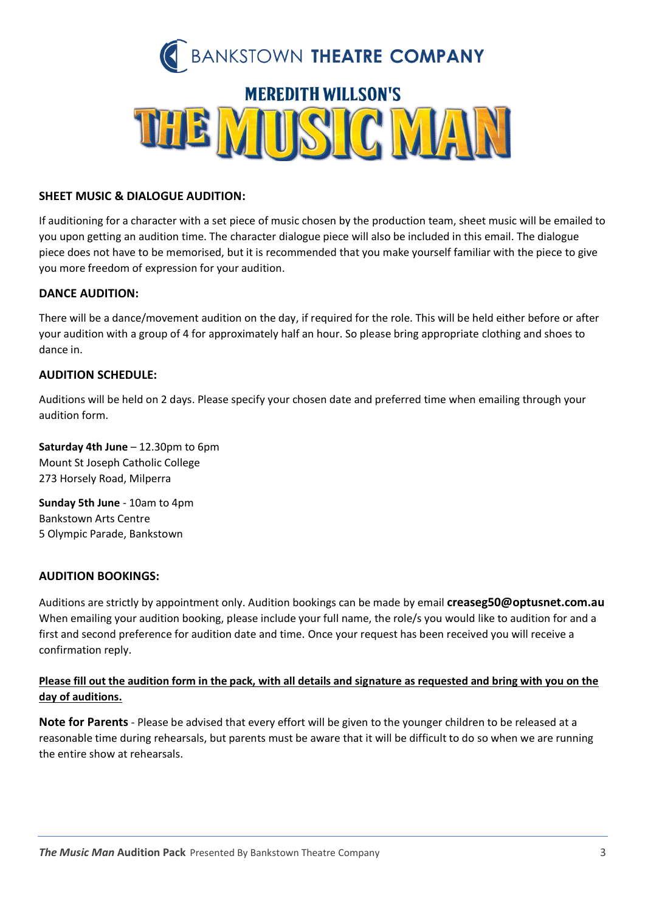

## **SHEET MUSIC & DIALOGUE AUDITION:**

If auditioning for a character with a set piece of music chosen by the production team, sheet music will be emailed to you upon getting an audition time. The character dialogue piece will also be included in this email. The dialogue piece does not have to be memorised, but it is recommended that you make yourself familiar with the piece to give you more freedom of expression for your audition.

## **DANCE AUDITION:**

There will be a dance/movement audition on the day, if required for the role. This will be held either before or after your audition with a group of 4 for approximately half an hour. So please bring appropriate clothing and shoes to dance in.

## **AUDITION SCHEDULE:**

Auditions will be held on 2 days. Please specify your chosen date and preferred time when emailing through your audition form.

**Saturday 4th June** – 12.30pm to 6pm Mount St Joseph Catholic College 273 Horsely Road, Milperra

**Sunday 5th June** - 10am to 4pm Bankstown Arts Centre 5 Olympic Parade, Bankstown

## **AUDITION BOOKINGS:**

Auditions are strictly by appointment only. Audition bookings can be made by email **[creaseg50@optusnet.com.au](mailto:creaseg50@optusnet.com.au)** When emailing your audition booking, please include your full name, the role/s you would like to audition for and a first and second preference for audition date and time. Once your request has been received you will receive a confirmation reply.

## **Please fill out the audition form in the pack, with all details and signature as requested and bring with you on the day of auditions.**

**Note for Parents** - Please be advised that every effort will be given to the younger children to be released at a reasonable time during rehearsals, but parents must be aware that it will be difficult to do so when we are running the entire show at rehearsals.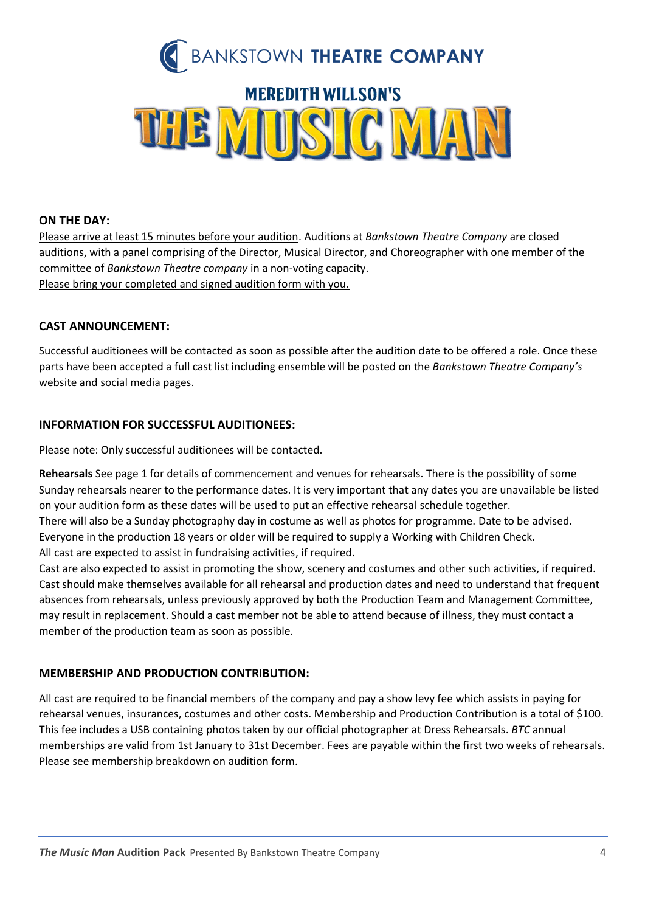

## **ON THE DAY:**

Please arrive at least 15 minutes before your audition. Auditions at *Bankstown Theatre Company* are closed auditions, with a panel comprising of the Director, Musical Director, and Choreographer with one member of the committee of *Bankstown Theatre company* in a non-voting capacity. Please bring your completed and signed audition form with you.

## **CAST ANNOUNCEMENT:**

Successful auditionees will be contacted as soon as possible after the audition date to be offered a role. Once these parts have been accepted a full cast list including ensemble will be posted on the *Bankstown Theatre Company's* website and social media pages.

## **INFORMATION FOR SUCCESSFUL AUDITIONEES:**

Please note: Only successful auditionees will be contacted.

**Rehearsals** See page 1 for details of commencement and venues for rehearsals. There is the possibility of some Sunday rehearsals nearer to the performance dates. It is very important that any dates you are unavailable be listed on your audition form as these dates will be used to put an effective rehearsal schedule together. There will also be a Sunday photography day in costume as well as photos for programme. Date to be advised. Everyone in the production 18 years or older will be required to supply a Working with Children Check. All cast are expected to assist in fundraising activities, if required.

Cast are also expected to assist in promoting the show, scenery and costumes and other such activities, if required. Cast should make themselves available for all rehearsal and production dates and need to understand that frequent absences from rehearsals, unless previously approved by both the Production Team and Management Committee, may result in replacement. Should a cast member not be able to attend because of illness, they must contact a member of the production team as soon as possible.

## **MEMBERSHIP AND PRODUCTION CONTRIBUTION:**

All cast are required to be financial members of the company and pay a show levy fee which assists in paying for rehearsal venues, insurances, costumes and other costs. Membership and Production Contribution is a total of \$100. This fee includes a USB containing photos taken by our official photographer at Dress Rehearsals. *BTC* annual memberships are valid from 1st January to 31st December. Fees are payable within the first two weeks of rehearsals. Please see membership breakdown on audition form.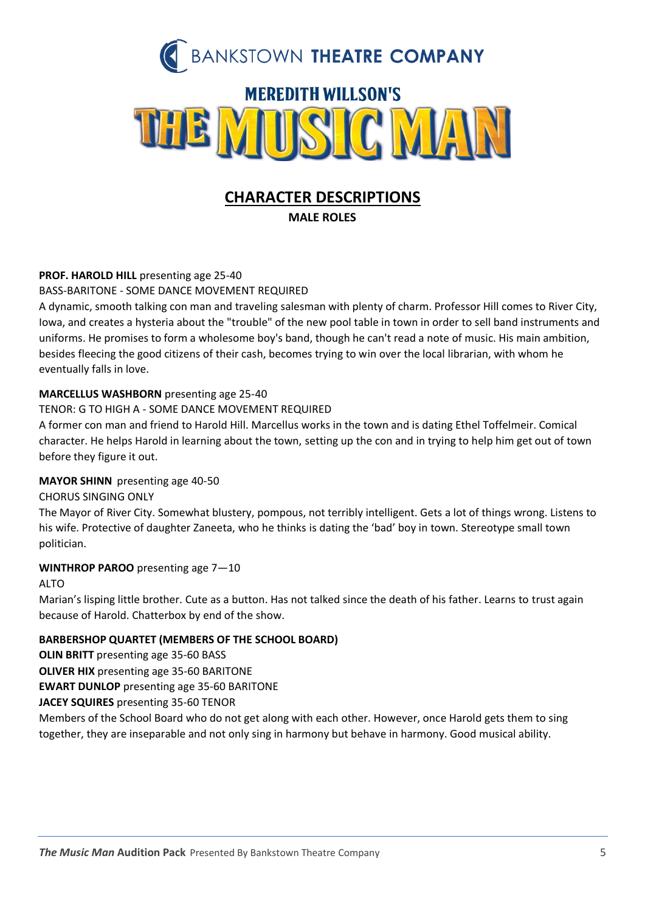

# **CHARACTER DESCRIPTIONS**

**MALE ROLES**

## **PROF. HAROLD HILL** presenting age 25-40

BASS-BARITONE - SOME DANCE MOVEMENT REQUIRED

A dynamic, smooth talking con man and traveling salesman with plenty of charm. Professor Hill comes to River City, Iowa, and creates a hysteria about the "trouble" of the new pool table in town in order to sell band instruments and uniforms. He promises to form a wholesome boy's band, though he can't read a note of music. His main ambition, besides fleecing the good citizens of their cash, becomes trying to win over the local librarian, with whom he eventually falls in love.

## **MARCELLUS WASHBORN** presenting age 25-40

TENOR: G TO HIGH A - SOME DANCE MOVEMENT REQUIRED

A former con man and friend to Harold Hill. Marcellus works in the town and is dating Ethel Toffelmeir. Comical character. He helps Harold in learning about the town, setting up the con and in trying to help him get out of town before they figure it out.

## **MAYOR SHINN** presenting age 40-50

CHORUS SINGING ONLY

The Mayor of River City. Somewhat blustery, pompous, not terribly intelligent. Gets a lot of things wrong. Listens to his wife. Protective of daughter Zaneeta, who he thinks is dating the 'bad' boy in town. Stereotype small town politician.

## **WINTHROP PAROO** presenting age 7—10

## ALTO

Marian's lisping little brother. Cute as a button. Has not talked since the death of his father. Learns to trust again because of Harold. Chatterbox by end of the show.

## **BARBERSHOP QUARTET (MEMBERS OF THE SCHOOL BOARD)**

**OLIN BRITT** presenting age 35-60 BASS

**OLIVER HIX** presenting age 35-60 BARITONE

**EWART DUNLOP** presenting age 35-60 BARITONE

**JACEY SQUIRES** presenting 35-60 TENOR

Members of the School Board who do not get along with each other. However, once Harold gets them to sing together, they are inseparable and not only sing in harmony but behave in harmony. Good musical ability.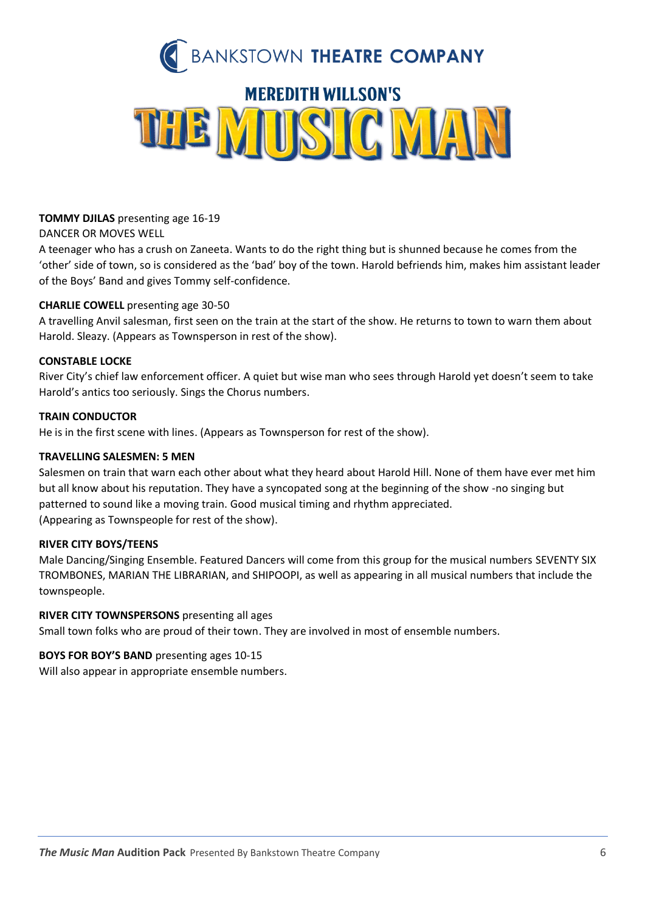

## **TOMMY DJILAS** presenting age 16-19

DANCER OR MOVES WELL

A teenager who has a crush on Zaneeta. Wants to do the right thing but is shunned because he comes from the 'other' side of town, so is considered as the 'bad' boy of the town. Harold befriends him, makes him assistant leader of the Boys' Band and gives Tommy self-confidence.

## **CHARLIE COWELL** presenting age 30-50

A travelling Anvil salesman, first seen on the train at the start of the show. He returns to town to warn them about Harold. Sleazy. (Appears as Townsperson in rest of the show).

## **CONSTABLE LOCKE**

River City's chief law enforcement officer. A quiet but wise man who sees through Harold yet doesn't seem to take Harold's antics too seriously. Sings the Chorus numbers.

## **TRAIN CONDUCTOR**

He is in the first scene with lines. (Appears as Townsperson for rest of the show).

## **TRAVELLING SALESMEN: 5 MEN**

Salesmen on train that warn each other about what they heard about Harold Hill. None of them have ever met him but all know about his reputation. They have a syncopated song at the beginning of the show -no singing but patterned to sound like a moving train. Good musical timing and rhythm appreciated. (Appearing as Townspeople for rest of the show).

## **RIVER CITY BOYS/TEENS**

Male Dancing/Singing Ensemble. Featured Dancers will come from this group for the musical numbers SEVENTY SIX TROMBONES, MARIAN THE LIBRARIAN, and SHIPOOPI, as well as appearing in all musical numbers that include the townspeople.

## **RIVER CITY TOWNSPERSONS** presenting all ages

Small town folks who are proud of their town. They are involved in most of ensemble numbers.

## **BOYS FOR BOY'S BAND** presenting ages 10-15

Will also appear in appropriate ensemble numbers.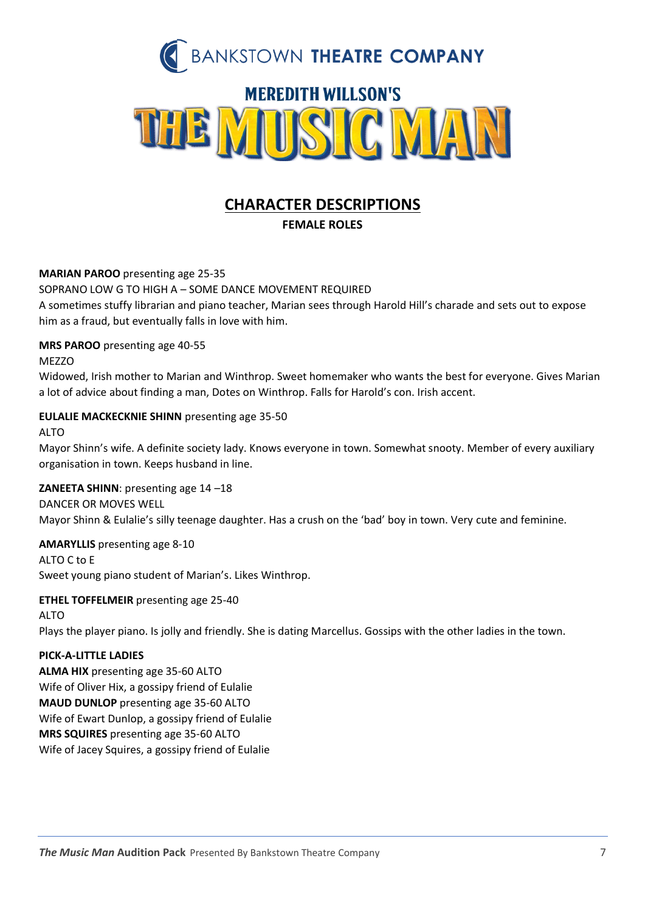

# **CHARACTER DESCRIPTIONS**

**FEMALE ROLES**

## **MARIAN PAROO** presenting age 25-35

SOPRANO LOW G TO HIGH A – SOME DANCE MOVEMENT REQUIRED

A sometimes stuffy librarian and piano teacher, Marian sees through Harold Hill's charade and sets out to expose him as a fraud, but eventually falls in love with him.

## **MRS PAROO** presenting age 40-55

## **MEZZO**

Widowed, Irish mother to Marian and Winthrop. Sweet homemaker who wants the best for everyone. Gives Marian a lot of advice about finding a man, Dotes on Winthrop. Falls for Harold's con. Irish accent.

## **EULALIE MACKECKNIE SHINN** presenting age 35-50

## ALTO

Mayor Shinn's wife. A definite society lady. Knows everyone in town. Somewhat snooty. Member of every auxiliary organisation in town. Keeps husband in line.

## **ZANEETA SHINN**: presenting age 14 –18

DANCER OR MOVES WELL Mayor Shinn & Eulalie's silly teenage daughter. Has a crush on the 'bad' boy in town. Very cute and feminine.

## **AMARYLLIS** presenting age 8-10

ALTO C to E Sweet young piano student of Marian's. Likes Winthrop.

## **ETHEL TOFFELMEIR** presenting age 25-40

ALTO Plays the player piano. Is jolly and friendly. She is dating Marcellus. Gossips with the other ladies in the town.

## **PICK-A-LITTLE LADIES**

**ALMA HIX** presenting age 35-60 ALTO Wife of Oliver Hix, a gossipy friend of Eulalie **MAUD DUNLOP** presenting age 35-60 ALTO Wife of Ewart Dunlop, a gossipy friend of Eulalie **MRS SQUIRES** presenting age 35-60 ALTO Wife of Jacey Squires, a gossipy friend of Eulalie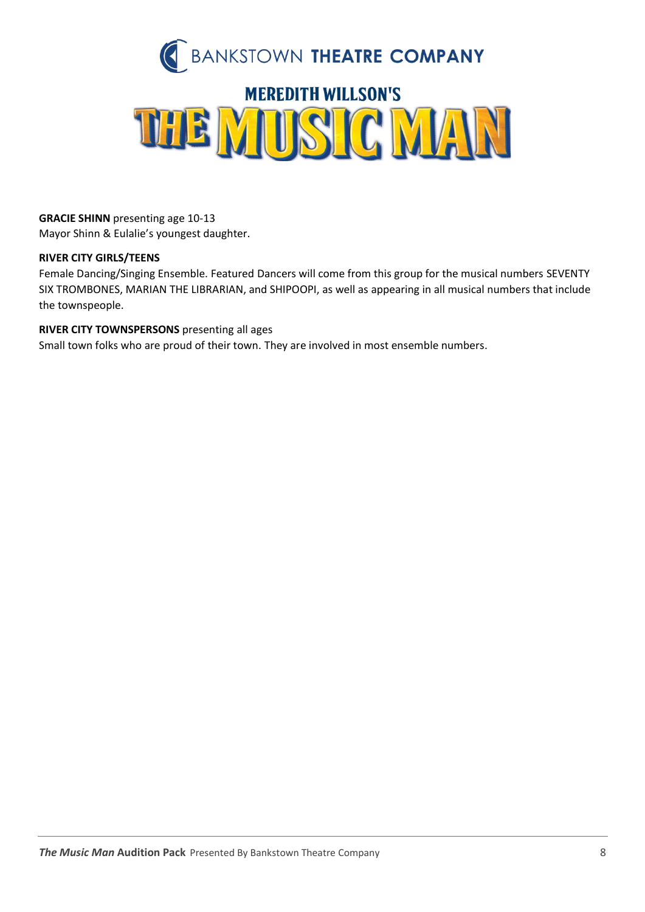

**GRACIE SHINN** presenting age 10-13 Mayor Shinn & Eulalie's youngest daughter.

## **RIVER CITY GIRLS/TEENS**

Female Dancing/Singing Ensemble. Featured Dancers will come from this group for the musical numbers SEVENTY SIX TROMBONES, MARIAN THE LIBRARIAN, and SHIPOOPI, as well as appearing in all musical numbers that include the townspeople.

## **RIVER CITY TOWNSPERSONS** presenting all ages

Small town folks who are proud of their town. They are involved in most ensemble numbers.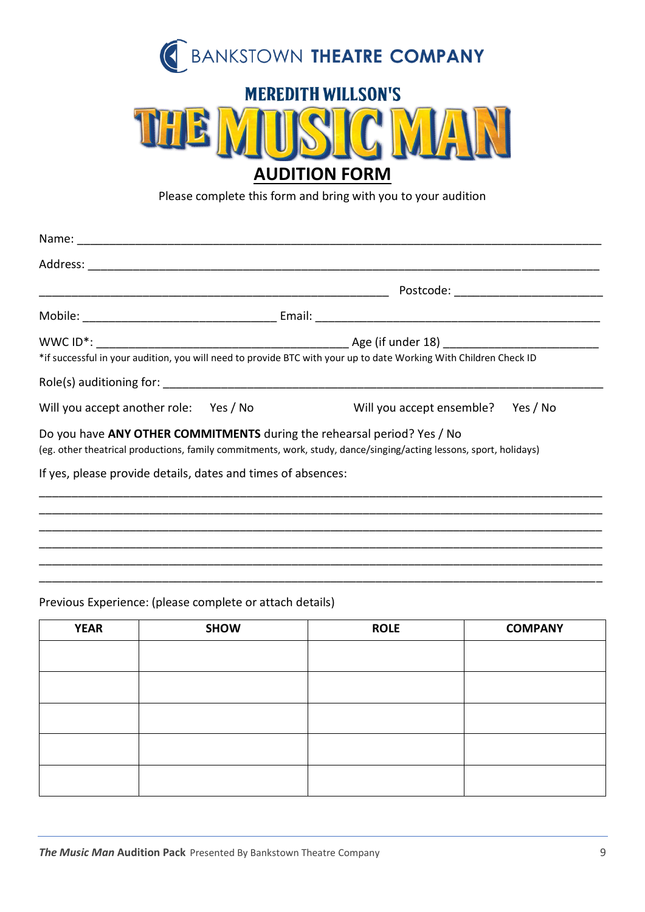

# **MEREDITH WILLSON'S**



Please complete this form and bring with you to your audition

|                                                              | *if successful in your audition, you will need to provide BTC with your up to date Working With Children Check ID                                                                             |
|--------------------------------------------------------------|-----------------------------------------------------------------------------------------------------------------------------------------------------------------------------------------------|
|                                                              |                                                                                                                                                                                               |
|                                                              | Will you accept another role: Yes / No Will you accept ensemble? Yes / No                                                                                                                     |
|                                                              | Do you have ANY OTHER COMMITMENTS during the rehearsal period? Yes / No<br>(eg. other theatrical productions, family commitments, work, study, dance/singing/acting lessons, sport, holidays) |
| If yes, please provide details, dates and times of absences: |                                                                                                                                                                                               |
|                                                              |                                                                                                                                                                                               |
|                                                              |                                                                                                                                                                                               |

\_\_\_\_\_\_\_\_\_\_\_\_\_\_\_\_\_\_\_\_\_\_\_\_\_\_\_\_\_\_\_\_\_\_\_\_\_\_\_\_\_\_\_\_\_\_\_\_\_\_\_\_\_\_\_\_\_\_\_\_\_\_\_\_\_\_\_\_\_\_\_\_\_\_\_\_\_\_\_\_\_\_\_\_\_\_\_ \_\_\_\_\_\_\_\_\_\_\_\_\_\_\_\_\_\_\_\_\_\_\_\_\_\_\_\_\_\_\_\_\_\_\_\_\_\_\_\_\_\_\_\_\_\_\_\_\_\_\_\_\_\_\_\_\_\_\_\_\_\_\_\_\_\_\_\_\_\_\_\_\_\_\_\_\_\_\_\_\_\_\_\_\_\_\_ \_\_\_\_\_\_\_\_\_\_\_\_\_\_\_\_\_\_\_\_\_\_\_\_\_\_\_\_\_\_\_\_\_\_\_\_\_\_\_\_\_\_\_\_\_\_\_\_\_\_\_\_\_\_\_\_\_\_\_\_\_\_\_\_\_\_\_\_\_\_\_\_\_\_\_\_\_\_\_\_\_\_\_\_\_\_\_

## Previous Experience: (please complete or attach details)

| <b>YEAR</b> | <b>SHOW</b> | <b>ROLE</b> | <b>COMPANY</b> |
|-------------|-------------|-------------|----------------|
|             |             |             |                |
|             |             |             |                |
|             |             |             |                |
|             |             |             |                |
|             |             |             |                |
|             |             |             |                |
|             |             |             |                |
|             |             |             |                |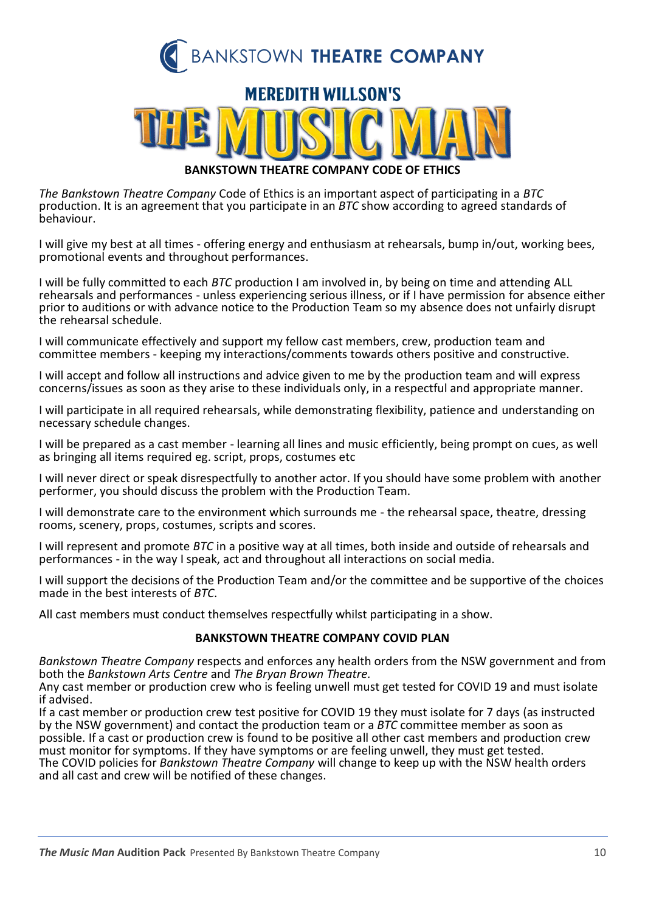

## **MEREDITH WILLSON'S**



**BANKSTOWN THEATRE COMPANY CODE OF ETHICS**

*The Bankstown Theatre Company* Code of Ethics is an important aspect of participating in a *BTC* production. It is an agreement that you participate in an *BTC* show according to agreed standards of behaviour.

I will give my best at all times - offering energy and enthusiasm at rehearsals, bump in/out, working bees, promotional events and throughout performances.

I will be fully committed to each *BTC* production I am involved in, by being on time and attending ALL rehearsals and performances - unless experiencing serious illness, or if I have permission for absence either prior to auditions or with advance notice to the Production Team so my absence does not unfairly disrupt the rehearsal schedule.

I will communicate effectively and support my fellow cast members, crew, production team and committee members - keeping my interactions/comments towards others positive and constructive.

I will accept and follow all instructions and advice given to me by the production team and will express concerns/issues as soon as they arise to these individuals only, in a respectful and appropriate manner.

I will participate in all required rehearsals, while demonstrating flexibility, patience and understanding on necessary schedule changes.

I will be prepared as a cast member - learning all lines and music efficiently, being prompt on cues, as well as bringing all items required eg. script, props, costumes etc

I will never direct or speak disrespectfully to another actor. If you should have some problem with another performer, you should discuss the problem with the Production Team.

I will demonstrate care to the environment which surrounds me - the rehearsal space, theatre, dressing rooms, scenery, props, costumes, scripts and scores.

I will represent and promote *BTC* in a positive way at all times, both inside and outside of rehearsals and performances - in the way I speak, act and throughout all interactions on social media.

I will support the decisions of the Production Team and/or the committee and be supportive of the choices made in the best interests of *BTC*.

All cast members must conduct themselves respectfully whilst participating in a show.

## **BANKSTOWN THEATRE COMPANY COVID PLAN**

*Bankstown Theatre Company* respects and enforces any health orders from the NSW government and from both the *Bankstown Arts Centre* and *The Bryan Brown Theatre.*

Any cast member or production crew who is feeling unwell must get tested for COVID 19 and must isolate if advised.

If a cast member or production crew test positive for COVID 19 they must isolate for 7 days (as instructed by the NSW government) and contact the production team or a *BTC* committee member as soon as possible. If a cast or production crew is found to be positive all other cast members and production crew must monitor for symptoms. If they have symptoms or are feeling unwell, they must get tested. The COVID policies for *Bankstown Theatre Company* will change to keep up with the NSW health orders and all cast and crew will be notified of these changes.